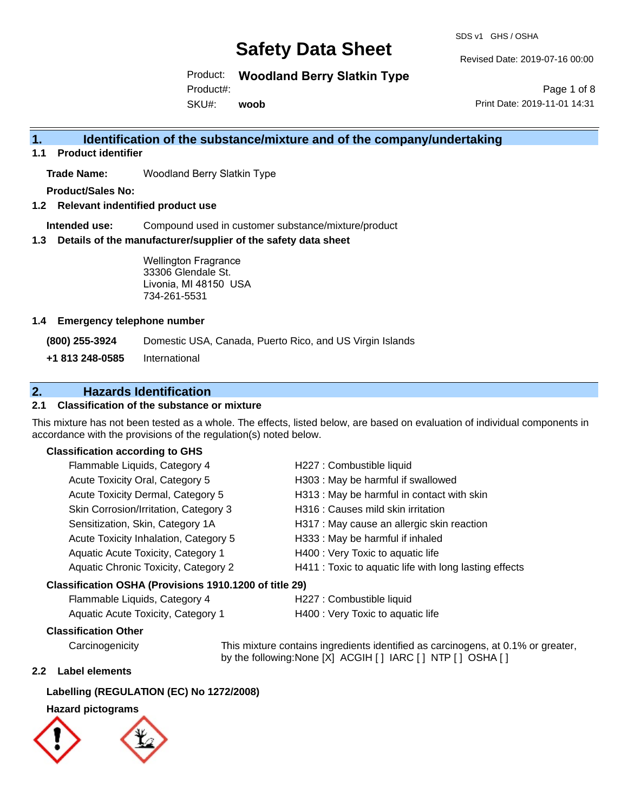SDS v1 GHS / OSHA

Revised Date: 2019-07-16 00:00

Product: **Woodland Berry Slatkin Type**

Product#:

SKU#: **woob**

Page 1 of 8 Print Date: 2019-11-01 14:31

## **1. Identification of the substance/mixture and of the company/undertaking**

**1.1 Product identifier**

**Trade Name:** Woodland Berry Slatkin Type

**Product/Sales No:**

**1.2 Relevant indentified product use**

**Intended use:** Compound used in customer substance/mixture/product

**1.3 Details of the manufacturer/supplier of the safety data sheet**

Wellington Fragrance 33306 Glendale St. Livonia, MI 48150 USA 734-261-5531

#### **1.4 Emergency telephone number**

**(800) 255-3924** Domestic USA, Canada, Puerto Rico, and US Virgin Islands

**+1 813 248-0585** International

### **2. Hazards Identification**

### **2.1 Classification of the substance or mixture**

This mixture has not been tested as a whole. The effects, listed below, are based on evaluation of individual components in accordance with the provisions of the regulation(s) noted below.

#### **Classification according to GHS**

| Classification OSHA (Provisions 1910.1200 of title 29) |                                                        |  |
|--------------------------------------------------------|--------------------------------------------------------|--|
| Aquatic Chronic Toxicity, Category 2                   | H411 : Toxic to aquatic life with long lasting effects |  |
| Aquatic Acute Toxicity, Category 1                     | H400 : Very Toxic to aquatic life                      |  |
| Acute Toxicity Inhalation, Category 5                  | H333: May be harmful if inhaled                        |  |
| Sensitization, Skin, Category 1A                       | H317 : May cause an allergic skin reaction             |  |
| Skin Corrosion/Irritation, Category 3                  | H316 : Causes mild skin irritation                     |  |
| Acute Toxicity Dermal, Category 5                      | H313 : May be harmful in contact with skin             |  |
| Acute Toxicity Oral, Category 5                        | H303 : May be harmful if swallowed                     |  |
| Flammable Liquids, Category 4                          | H227 : Combustible liquid                              |  |

# Flammable Liquids, Category 4 H227 : Combustible liquid

| $\frac{1}{2}$ ratificable Eigenes, Oategory $\pm$ | <b>ELLE PRODUCTION</b>            |
|---------------------------------------------------|-----------------------------------|
| Aquatic Acute Toxicity, Category 1                | H400 : Very Toxic to aquatic life |

#### **Classification Other**

Carcinogenicity This mixture contains ingredients identified as carcinogens, at 0.1% or greater, by the following:None [X] ACGIH [ ] IARC [ ] NTP [ ] OSHA [ ]

#### **2.2 Label elements**

#### **Labelling (REGULATION (EC) No 1272/2008)**

### **Hazard pictograms**

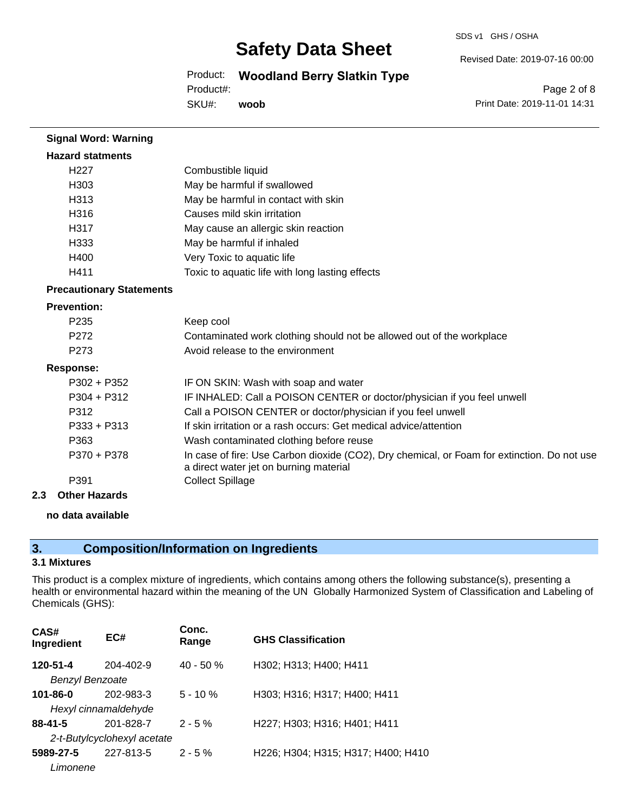SDS v1 GHS / OSHA

Revised Date: 2019-07-16 00:00

## Product: **Woodland Berry Slatkin Type**

Product#:

SKU#: **woob**

Page 2 of 8 Print Date: 2019-11-01 14:31

| <b>Signal Word: Warning</b>     |                                                                                                                                       |
|---------------------------------|---------------------------------------------------------------------------------------------------------------------------------------|
| <b>Hazard statments</b>         |                                                                                                                                       |
| H <sub>22</sub> 7               | Combustible liquid                                                                                                                    |
| H303                            | May be harmful if swallowed                                                                                                           |
| H313                            | May be harmful in contact with skin                                                                                                   |
| H316                            | Causes mild skin irritation                                                                                                           |
| H317                            | May cause an allergic skin reaction                                                                                                   |
| H333                            | May be harmful if inhaled                                                                                                             |
| H400                            | Very Toxic to aquatic life                                                                                                            |
| H411                            | Toxic to aquatic life with long lasting effects                                                                                       |
| <b>Precautionary Statements</b> |                                                                                                                                       |
| <b>Prevention:</b>              |                                                                                                                                       |
| P235                            | Keep cool                                                                                                                             |
| P272                            | Contaminated work clothing should not be allowed out of the workplace                                                                 |
| P273                            | Avoid release to the environment                                                                                                      |
| <b>Response:</b>                |                                                                                                                                       |
| $P302 + P352$                   | IF ON SKIN: Wash with soap and water                                                                                                  |
| $P304 + P312$                   | IF INHALED: Call a POISON CENTER or doctor/physician if you feel unwell                                                               |
| P312                            | Call a POISON CENTER or doctor/physician if you feel unwell                                                                           |
| $P333 + P313$                   | If skin irritation or a rash occurs: Get medical advice/attention                                                                     |
| P363                            | Wash contaminated clothing before reuse                                                                                               |
| P370 + P378                     | In case of fire: Use Carbon dioxide (CO2), Dry chemical, or Foam for extinction. Do not use<br>a direct water jet on burning material |
| P391                            | <b>Collect Spillage</b>                                                                                                               |
| 2<br>Othor Hazarde              |                                                                                                                                       |

**2.3 Other Hazards**

#### **no data available**

## **3. Composition/Information on Ingredients**

#### **3.1 Mixtures**

This product is a complex mixture of ingredients, which contains among others the following substance(s), presenting a health or environmental hazard within the meaning of the UN Globally Harmonized System of Classification and Labeling of Chemicals (GHS):

| CAS#<br>Ingredient     | EC#                         | Conc.<br>Range | <b>GHS Classification</b>          |
|------------------------|-----------------------------|----------------|------------------------------------|
| 120-51-4               | 204-402-9                   | $40 - 50%$     | H302; H313; H400; H411             |
| <b>Benzyl Benzoate</b> |                             |                |                                    |
| $101 - 86 - 0$         | 202-983-3                   | $5 - 10 \%$    | H303; H316; H317; H400; H411       |
|                        | Hexyl cinnamaldehyde        |                |                                    |
| $88 - 41 - 5$          | 201-828-7                   | $2 - 5%$       | H227; H303; H316; H401; H411       |
|                        | 2-t-Butylcyclohexyl acetate |                |                                    |
| 5989-27-5              | 227-813-5                   | $2 - 5 \%$     | H226; H304; H315; H317; H400; H410 |
| Limonene               |                             |                |                                    |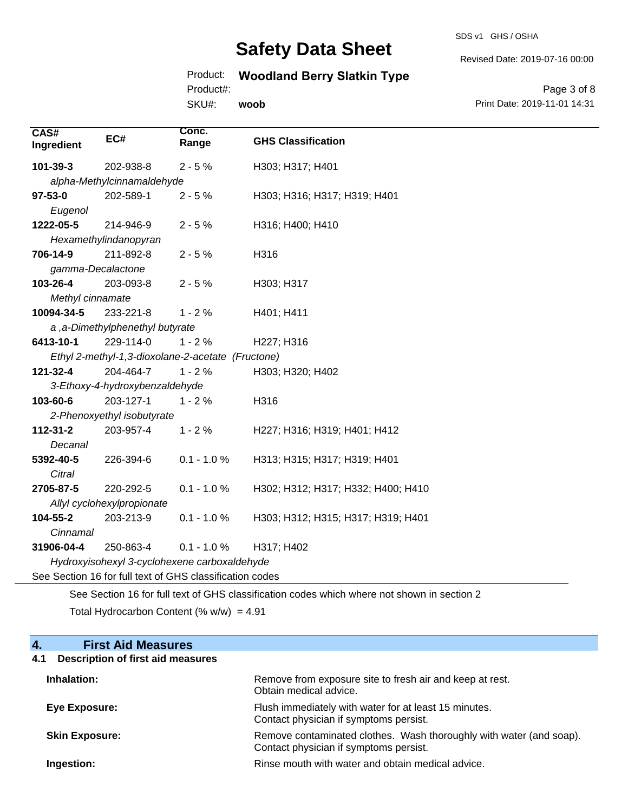SDS v1 GHS / OSHA

Revised Date: 2019-07-16 00:00

# Product: **Woodland Berry Slatkin Type**

Product#:

SKU#: **woob**

Page 3 of 8 Print Date: 2019-11-01 14:31

| CAS#<br>Ingredient                                                                          | EC#                                               | Conc.<br>Range | <b>GHS Classification</b>          |
|---------------------------------------------------------------------------------------------|---------------------------------------------------|----------------|------------------------------------|
| 101-39-3                                                                                    | 202-938-8                                         | $2 - 5%$       | H303; H317; H401                   |
|                                                                                             | alpha-Methylcinnamaldehyde                        |                |                                    |
| $97 - 53 - 0$                                                                               | 202-589-1                                         | $2 - 5%$       | H303; H316; H317; H319; H401       |
| Eugenol                                                                                     |                                                   |                |                                    |
| 1222-05-5                                                                                   | 214-946-9                                         | $2 - 5%$       | H316; H400; H410                   |
|                                                                                             | Hexamethylindanopyran                             |                |                                    |
| 706-14-9                                                                                    | 211-892-8                                         | $2 - 5%$       | H316                               |
| gamma-Decalactone                                                                           |                                                   |                |                                    |
| 103-26-4                                                                                    | 203-093-8                                         | $2 - 5%$       | H303; H317                         |
| Methyl cinnamate                                                                            |                                                   |                |                                    |
| 10094-34-5                                                                                  | 233-221-8                                         | $1 - 2%$       | H401; H411                         |
| a ,a-Dimethylphenethyl butyrate                                                             |                                                   |                |                                    |
| 6413-10-1                                                                                   | 229-114-0                                         | $1 - 2%$       | H227; H316                         |
|                                                                                             | Ethyl 2-methyl-1,3-dioxolane-2-acetate (Fructone) |                |                                    |
| 121-32-4                                                                                    | 204-464-7                                         | $1 - 2%$       | H303; H320; H402                   |
|                                                                                             | 3-Ethoxy-4-hydroxybenzaldehyde                    |                |                                    |
| 103-60-6                                                                                    | 203-127-1                                         | $1 - 2%$       | H316                               |
| 2-Phenoxyethyl isobutyrate                                                                  |                                                   |                |                                    |
| 112-31-2                                                                                    | 203-957-4                                         | $1 - 2%$       | H227; H316; H319; H401; H412       |
| Decanal                                                                                     |                                                   |                |                                    |
| 5392-40-5                                                                                   | 226-394-6                                         | $0.1 - 1.0 %$  | H313; H315; H317; H319; H401       |
| Citral                                                                                      |                                                   |                |                                    |
| 2705-87-5                                                                                   | 220-292-5                                         | $0.1 - 1.0 %$  | H302; H312; H317; H332; H400; H410 |
|                                                                                             | Allyl cyclohexylpropionate                        |                |                                    |
| 104-55-2                                                                                    | 203-213-9                                         | $0.1 - 1.0 %$  | H303; H312; H315; H317; H319; H401 |
| Cinnamal                                                                                    |                                                   |                |                                    |
| 31906-04-4                                                                                  | 250-863-4                                         | $0.1 - 1.0 %$  | H317; H402                         |
|                                                                                             | Hydroxyisohexyl 3-cyclohexene carboxaldehyde      |                |                                    |
| See Section 16 for full text of GHS classification codes                                    |                                                   |                |                                    |
| See Section 16 for full text of GHS classification codes which where not shown in section 2 |                                                   |                |                                    |

Total Hydrocarbon Content (%  $w/w$ ) = 4.91

### **4. First Aid Measures**

## **4.1 Description of first aid measures**

| Inhalation:           | Remove from exposure site to fresh air and keep at rest.<br>Obtain medical advice.                            |
|-----------------------|---------------------------------------------------------------------------------------------------------------|
| Eye Exposure:         | Flush immediately with water for at least 15 minutes.<br>Contact physician if symptoms persist.               |
| <b>Skin Exposure:</b> | Remove contaminated clothes. Wash thoroughly with water (and soap).<br>Contact physician if symptoms persist. |
| Ingestion:            | Rinse mouth with water and obtain medical advice.                                                             |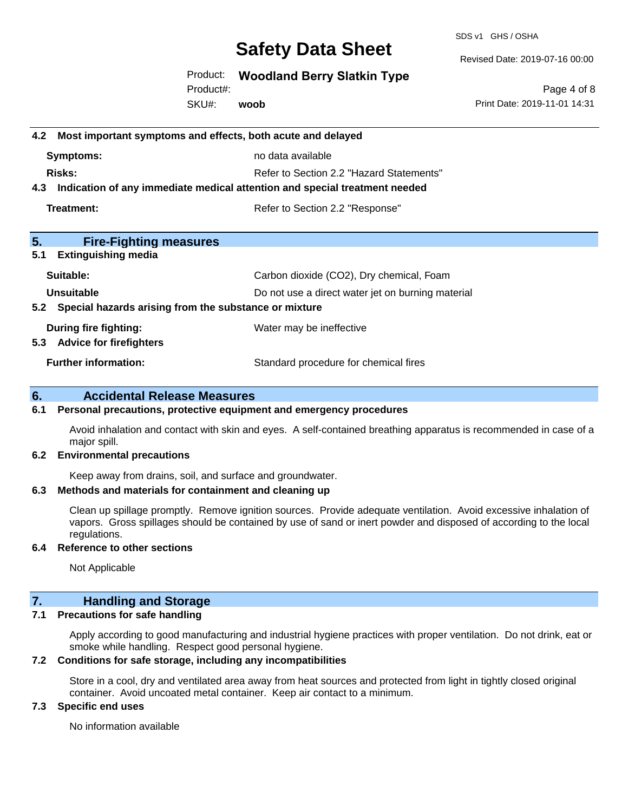SDS v1 GHS / OSHA

Revised Date: 2019-07-16 00:00

Product: **Woodland Berry Slatkin Type**

SKU#: Product#: **woob**

Page 4 of 8 Print Date: 2019-11-01 14:31

| Most important symptoms and effects, both acute and delayed<br>4.2                |                                                   |  |
|-----------------------------------------------------------------------------------|---------------------------------------------------|--|
| <b>Symptoms:</b>                                                                  | no data available                                 |  |
| Risks:                                                                            | Refer to Section 2.2 "Hazard Statements"          |  |
| Indication of any immediate medical attention and special treatment needed<br>4.3 |                                                   |  |
| <b>Treatment:</b>                                                                 | Refer to Section 2.2 "Response"                   |  |
| 5.<br><b>Fire-Fighting measures</b>                                               |                                                   |  |
| <b>Extinguishing media</b><br>5.1                                                 |                                                   |  |
| Suitable:                                                                         | Carbon dioxide (CO2), Dry chemical, Foam          |  |
| Unsuitable                                                                        | Do not use a direct water jet on burning material |  |
| Special hazards arising from the substance or mixture<br>5.2                      |                                                   |  |
| During fire fighting:                                                             | Water may be ineffective                          |  |
| <b>Advice for firefighters</b><br>5.3                                             |                                                   |  |
| <b>Further information:</b>                                                       | Standard procedure for chemical fires             |  |
| 6.<br><b>Accidental Release Measures</b>                                          |                                                   |  |

## **6.1 Personal precautions, protective equipment and emergency procedures**

Avoid inhalation and contact with skin and eyes. A self-contained breathing apparatus is recommended in case of a major spill.

#### **6.2 Environmental precautions**

Keep away from drains, soil, and surface and groundwater.

#### **6.3 Methods and materials for containment and cleaning up**

Clean up spillage promptly. Remove ignition sources. Provide adequate ventilation. Avoid excessive inhalation of vapors. Gross spillages should be contained by use of sand or inert powder and disposed of according to the local regulations.

#### **6.4 Reference to other sections**

Not Applicable

### **7. Handling and Storage**

#### **7.1 Precautions for safe handling**

Apply according to good manufacturing and industrial hygiene practices with proper ventilation. Do not drink, eat or smoke while handling. Respect good personal hygiene.

#### **7.2 Conditions for safe storage, including any incompatibilities**

Store in a cool, dry and ventilated area away from heat sources and protected from light in tightly closed original container. Avoid uncoated metal container. Keep air contact to a minimum.

#### **7.3 Specific end uses**

No information available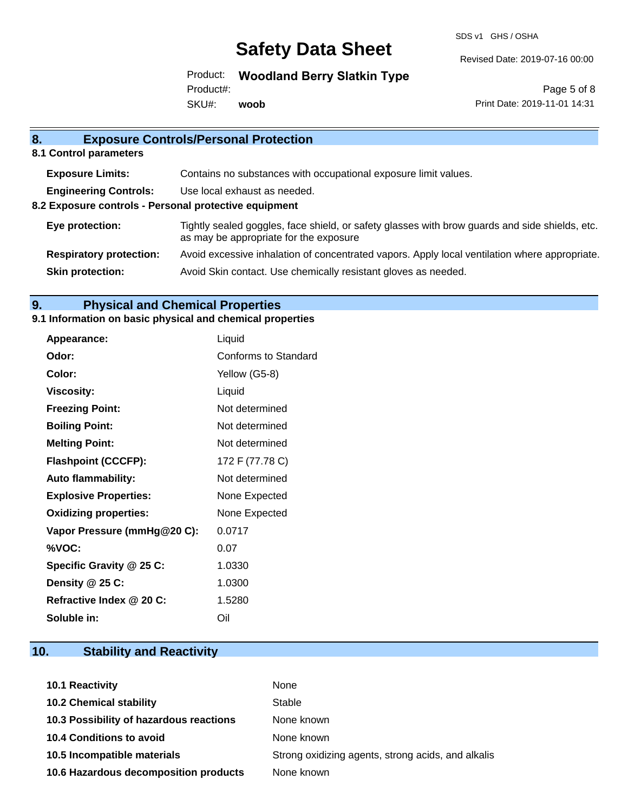SDS v1 GHS / OSHA

Revised Date: 2019-07-16 00:00

Product: **Woodland Berry Slatkin Type** Product#:

SKU#: **woob**

Page 5 of 8 Print Date: 2019-11-01 14:31

| 8.                                                           | <b>Exposure Controls/Personal Protection</b>                                                                                             |
|--------------------------------------------------------------|------------------------------------------------------------------------------------------------------------------------------------------|
| 8.1 Control parameters                                       |                                                                                                                                          |
| <b>Exposure Limits:</b>                                      | Contains no substances with occupational exposure limit values.                                                                          |
| <b>Engineering Controls:</b><br>Use local exhaust as needed. |                                                                                                                                          |
| 8.2 Exposure controls - Personal protective equipment        |                                                                                                                                          |
| Eye protection:                                              | Tightly sealed goggles, face shield, or safety glasses with brow guards and side shields, etc.<br>as may be appropriate for the exposure |
| <b>Respiratory protection:</b>                               | Avoid excessive inhalation of concentrated vapors. Apply local ventilation where appropriate.                                            |
| <b>Skin protection:</b>                                      | Avoid Skin contact. Use chemically resistant gloves as needed.                                                                           |
|                                                              |                                                                                                                                          |

# **9. Physical and Chemical Properties**

### **9.1 Information on basic physical and chemical properties**

| Appearance:                  | Liquid               |
|------------------------------|----------------------|
| Odor:                        | Conforms to Standard |
| Color:                       | Yellow (G5-8)        |
| <b>Viscosity:</b>            | Liquid               |
| <b>Freezing Point:</b>       | Not determined       |
| <b>Boiling Point:</b>        | Not determined       |
| <b>Melting Point:</b>        | Not determined       |
| <b>Flashpoint (CCCFP):</b>   | 172 F (77.78 C)      |
| <b>Auto flammability:</b>    | Not determined       |
| <b>Explosive Properties:</b> | None Expected        |
| <b>Oxidizing properties:</b> | None Expected        |
| Vapor Pressure (mmHg@20 C):  | 0.0717               |
| %VOC:                        | 0.07                 |
| Specific Gravity @ 25 C:     | 1.0330               |
| Density @ 25 C:              | 1.0300               |
| Refractive Index @ 20 C:     | 1.5280               |
| Soluble in:                  | Oil                  |

# **10. Stability and Reactivity**

| <b>10.1 Reactivity</b>                  | None                                               |
|-----------------------------------------|----------------------------------------------------|
| <b>10.2 Chemical stability</b>          | Stable                                             |
| 10.3 Possibility of hazardous reactions | None known                                         |
| 10.4 Conditions to avoid                | None known                                         |
| 10.5 Incompatible materials             | Strong oxidizing agents, strong acids, and alkalis |
| 10.6 Hazardous decomposition products   | None known                                         |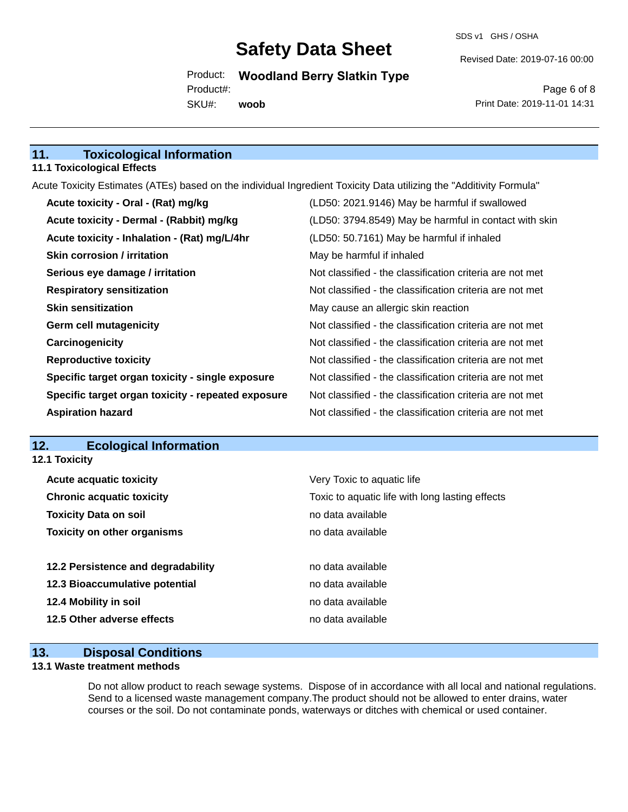SDS v1 GHS / OSHA

Revised Date: 2019-07-16 00:00

Product: **Woodland Berry Slatkin Type** SKU#: Product#: **woob**

Page 6 of 8 Print Date: 2019-11-01 14:31

## **11. Toxicological Information**

#### **11.1 Toxicological Effects**

Acute Toxicity Estimates (ATEs) based on the individual Ingredient Toxicity Data utilizing the "Additivity Formula"

| Acute toxicity - Oral - (Rat) mg/kg                | (LD50: 2021.9146) May be harmful if swallowed            |
|----------------------------------------------------|----------------------------------------------------------|
| Acute toxicity - Dermal - (Rabbit) mg/kg           | (LD50: 3794.8549) May be harmful in contact with skin    |
| Acute toxicity - Inhalation - (Rat) mg/L/4hr       | (LD50: 50.7161) May be harmful if inhaled                |
| <b>Skin corrosion / irritation</b>                 | May be harmful if inhaled                                |
| Serious eye damage / irritation                    | Not classified - the classification criteria are not met |
| <b>Respiratory sensitization</b>                   | Not classified - the classification criteria are not met |
| <b>Skin sensitization</b>                          | May cause an allergic skin reaction                      |
| <b>Germ cell mutagenicity</b>                      | Not classified - the classification criteria are not met |
| Carcinogenicity                                    | Not classified - the classification criteria are not met |
| <b>Reproductive toxicity</b>                       | Not classified - the classification criteria are not met |
| Specific target organ toxicity - single exposure   | Not classified - the classification criteria are not met |
| Specific target organ toxicity - repeated exposure | Not classified - the classification criteria are not met |
| <b>Aspiration hazard</b>                           | Not classified - the classification criteria are not met |

#### **12. Ecological Information 12.1 Toxicity**

| <b>Acute acquatic toxicity</b>     | Very Toxic to aquatic life                      |
|------------------------------------|-------------------------------------------------|
| <b>Chronic acquatic toxicity</b>   | Toxic to aquatic life with long lasting effects |
| <b>Toxicity Data on soil</b>       | no data available                               |
| <b>Toxicity on other organisms</b> | no data available                               |
|                                    |                                                 |
| 12.2 Persistence and degradability | no data available                               |
| 12.3 Bioaccumulative potential     | no data available                               |
| 12.4 Mobility in soil              | no data available                               |
| 12.5 Other adverse effects         | no data available                               |
|                                    |                                                 |

### **13. Disposal Conditions**

#### **13.1 Waste treatment methods**

Do not allow product to reach sewage systems. Dispose of in accordance with all local and national regulations. Send to a licensed waste management company.The product should not be allowed to enter drains, water courses or the soil. Do not contaminate ponds, waterways or ditches with chemical or used container.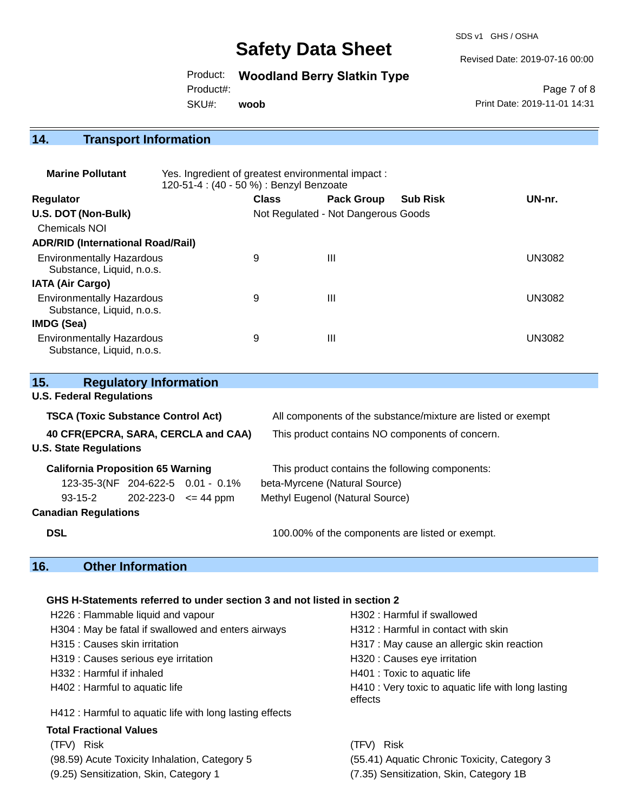SDS v1 GHS / OSHA

Revised Date: 2019-07-16 00:00

Product: **Woodland Berry Slatkin Type**

Product#:

SKU#: **woob**

Page 7 of 8 Print Date: 2019-11-01 14:31

# **14. Transport Information**

| <b>Marine Pollutant</b>                                       | Yes. Ingredient of greatest environmental impact:<br>120-51-4 : (40 - 50 %) : Benzyl Benzoate |                                     |                   |                 |               |
|---------------------------------------------------------------|-----------------------------------------------------------------------------------------------|-------------------------------------|-------------------|-----------------|---------------|
| <b>Regulator</b>                                              |                                                                                               | <b>Class</b>                        | <b>Pack Group</b> | <b>Sub Risk</b> | UN-nr.        |
| U.S. DOT (Non-Bulk)                                           |                                                                                               | Not Regulated - Not Dangerous Goods |                   |                 |               |
| Chemicals NOI                                                 |                                                                                               |                                     |                   |                 |               |
| <b>ADR/RID (International Road/Rail)</b>                      |                                                                                               |                                     |                   |                 |               |
| <b>Environmentally Hazardous</b><br>Substance, Liquid, n.o.s. |                                                                                               | 9                                   | Ш                 |                 | <b>UN3082</b> |
| IATA (Air Cargo)                                              |                                                                                               |                                     |                   |                 |               |
| <b>Environmentally Hazardous</b><br>Substance, Liquid, n.o.s. |                                                                                               | 9                                   | Ш                 |                 | <b>UN3082</b> |
| IMDG (Sea)                                                    |                                                                                               |                                     |                   |                 |               |
| <b>Environmentally Hazardous</b><br>Substance, Liquid, n.o.s. |                                                                                               | 9                                   | Ш                 |                 | UN3082        |

| <b>Regulatory Information</b><br>15.                                             |  |                                                                                                                 |  |
|----------------------------------------------------------------------------------|--|-----------------------------------------------------------------------------------------------------------------|--|
| <b>U.S. Federal Regulations</b>                                                  |  |                                                                                                                 |  |
| <b>TSCA (Toxic Substance Control Act)</b><br>40 CFR(EPCRA, SARA, CERCLA and CAA) |  | All components of the substance/mixture are listed or exempt<br>This product contains NO components of concern. |  |
|                                                                                  |  |                                                                                                                 |  |
| <b>California Proposition 65 Warning</b>                                         |  | This product contains the following components:                                                                 |  |
| 123-35-3(NF 204-622-5 0.01 - 0.1%                                                |  | beta-Myrcene (Natural Source)                                                                                   |  |
| $202 - 223 - 0 \leq 44 \text{ ppm}$<br>93-15-2                                   |  | Methyl Eugenol (Natural Source)                                                                                 |  |
| <b>Canadian Regulations</b>                                                      |  |                                                                                                                 |  |
| <b>DSL</b>                                                                       |  | 100.00% of the components are listed or exempt.                                                                 |  |
|                                                                                  |  |                                                                                                                 |  |
| 16.<br><b>Other Information</b>                                                  |  |                                                                                                                 |  |

### **GHS H-Statements referred to under section 3 and not listed in section 2**

| H226 : Flammable liquid and vapour                       | H302: Harmful if swallowed                                     |  |  |
|----------------------------------------------------------|----------------------------------------------------------------|--|--|
| H304 : May be fatal if swallowed and enters airways      | H312 : Harmful in contact with skin                            |  |  |
| H315 : Causes skin irritation                            | H317 : May cause an allergic skin reaction                     |  |  |
| H319 : Causes serious eye irritation                     | H320 : Causes eye irritation                                   |  |  |
| H332 : Harmful if inhaled                                | H401 : Toxic to aquatic life                                   |  |  |
| H402 : Harmful to aquatic life                           | H410 : Very toxic to aquatic life with long lasting<br>effects |  |  |
| H412 : Harmful to aquatic life with long lasting effects |                                                                |  |  |
| <b>Total Fractional Values</b>                           |                                                                |  |  |
| (TFV) Risk                                               | Risk<br>(TFV) -                                                |  |  |
| (98.59) Acute Toxicity Inhalation, Category 5            | (55.41) Aquatic Chronic Toxicity, Category 3                   |  |  |
| (9.25) Sensitization, Skin, Category 1                   | (7.35) Sensitization, Skin, Category 1B                        |  |  |